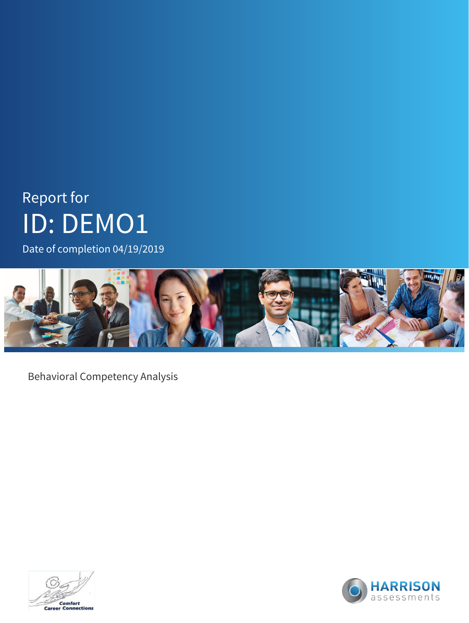# Report for ID: DEMO1

Date of completion 04/19/2019



Behavioral Competency Analysis



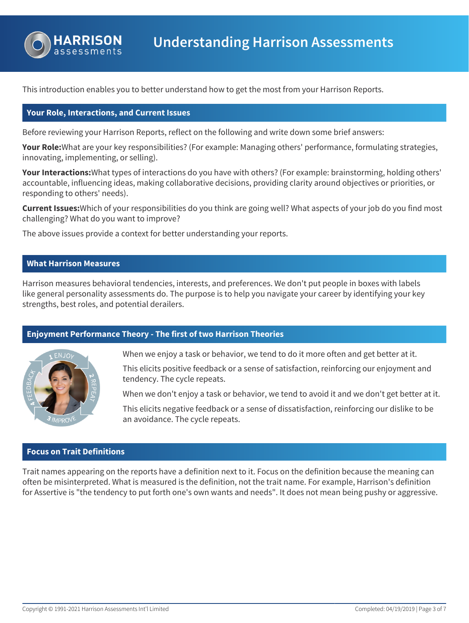

This introduction enables you to better understand how to get the most from your Harrison Reports.

### **Your Role, Interactions, and Current Issues**

Before reviewing your Harrison Reports, reflect on the following and write down some brief answers:

**Your Role:**What are your key responsibilities? (For example: Managing others' performance, formulating strategies, innovating, implementing, or selling).

**Your Interactions:**What types of interactions do you have with others? (For example: brainstorming, holding others' accountable, influencing ideas, making collaborative decisions, providing clarity around objectives or priorities, or responding to others' needs).

**Current Issues:**Which of your responsibilities do you think are going well? What aspects of your job do you find most challenging? What do you want to improve?

The above issues provide a context for better understanding your reports.

### **What Harrison Measures**

Harrison measures behavioral tendencies, interests, and preferences. We don't put people in boxes with labels like general personality assessments do. The purpose is to help you navigate your career by identifying your key strengths, best roles, and potential derailers.

### **Enjoyment Performance Theory - The first of two Harrison Theories**



When we enjoy a task or behavior, we tend to do it more often and get better at it.

This elicits positive feedback or a sense of satisfaction, reinforcing our enjoyment and tendency. The cycle repeats.

When we don't enjoy a task or behavior, we tend to avoid it and we don't get better at it.

This elicits negative feedback or a sense of dissatisfaction, reinforcing our dislike to be an avoidance. The cycle repeats.

### **Focus on Trait Definitions**

Trait names appearing on the reports have a definition next to it. Focus on the definition because the meaning can often be misinterpreted. What is measured is the definition, not the trait name. For example, Harrison's definition for Assertive is "the tendency to put forth one's own wants and needs". It does not mean being pushy or aggressive.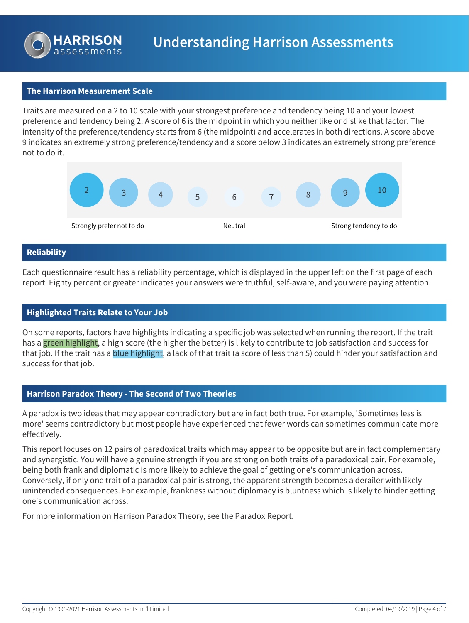

### **The Harrison Measurement Scale**

Traits are measured on a 2 to 10 scale with your strongest preference and tendency being 10 and your lowest preference and tendency being 2. A score of 6 is the midpoint in which you neither like or dislike that factor. The intensity of the preference/tendency starts from 6 (the midpoint) and accelerates in both directions. A score above 9 indicates an extremely strong preference/tendency and a score below 3 indicates an extremely strong preference not to do it.



#### **Reliability**

Each questionnaire result has a reliability percentage, which is displayed in the upper left on the first page of each report. Eighty percent or greater indicates your answers were truthful, self-aware, and you were paying attention.

### **Highlighted Traits Relate to Your Job**

On some reports, factors have highlights indicating a specific job was selected when running the report. If the trait has a green highlight, a high score (the higher the better) is likely to contribute to job satisfaction and success for that job. If the trait has a blue highlight, a lack of that trait (a score of less than 5) could hinder your satisfaction and success for that job.

### **Harrison Paradox Theory - The Second of Two Theories**

A paradox is two ideas that may appear contradictory but are in fact both true. For example, 'Sometimes less is more' seems contradictory but most people have experienced that fewer words can sometimes communicate more effectively.

This report focuses on 12 pairs of paradoxical traits which may appear to be opposite but are in fact complementary and synergistic. You will have a genuine strength if you are strong on both traits of a paradoxical pair. For example, being both frank and diplomatic is more likely to achieve the goal of getting one's communication across. Conversely, if only one trait of a paradoxical pair is strong, the apparent strength becomes a derailer with likely unintended consequences. For example, frankness without diplomacy is bluntness which is likely to hinder getting one's communication across.

For more information on Harrison Paradox Theory, see the Paradox Report.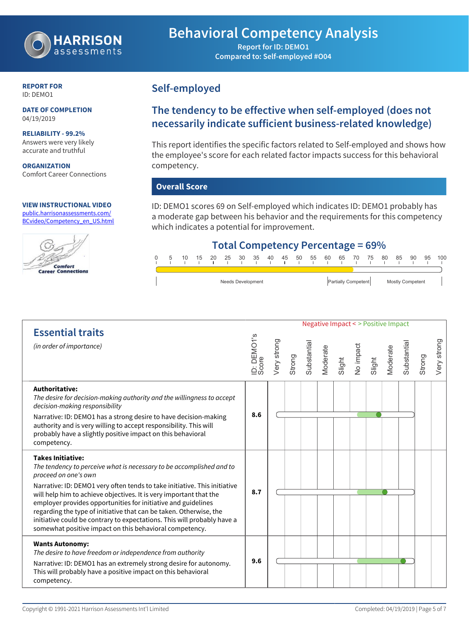

## **Behavioral Competency Analysis**

**Report for ID: DEMO1 Compared to: Self-employed #O04**

#### **REPORT FOR** ID: DEMO1

**DATE OF COMPLETION** 04/19/2019

**RELIABILITY - 99.2%** Answers were very likely accurate and truthful

**ORGANIZATION** Comfort Career Connections

#### **VIEW INSTRUCTIONAL VIDEO** [public.harrisonassessments.com/](https://public.harrisonassessments.com/BCvideo/Competency_en_US.html)

[BCvideo/Competency\\_en\\_US.html](https://public.harrisonassessments.com/BCvideo/Competency_en_US.html)



### **Self-employed**

### **The tendency to be effective when self-employed (does not necessarily indicate sufficient business-related knowledge)**

This report identifies the specific factors related to Self-employed and shows how the employee's score for each related factor impacts success for this behavioral competency.

### **Overall Score**

ID: DEMO1 scores 69 on Self-employed which indicates ID: DEMO1 probably has a moderate gap between his behavior and the requirements for this competency which indicates a potential for improvement.

### **Total Competency Percentage = 69%**



Negative Impact < > Positive Impact **Essential traits** ID: DEMO1's Score ery strong Very strong Substantial **Substantial** Substantia Substantia *(in order of importance)* Moderate Jo impact Moderate Strong Strong Slight Slight **Authoritative:** *The desire for decision-making authority and the willingness to accept decision-making responsibility* **8.6** Narrative: ID: DEMO1 has a strong desire to have decision-making authority and is very willing to accept responsibility. This will probably have a slightly positive impact on this behavioral competency. **Takes Initiative:** *The tendency to perceive what is necessary to be accomplished and to proceed on one's own* Narrative: ID: DEMO1 very often tends to take initiative. This initiative **8.7** will help him to achieve objectives. It is very important that the employer provides opportunities for initiative and guidelines regarding the type of initiative that can be taken. Otherwise, the initiative could be contrary to expectations. This will probably have a somewhat positive impact on this behavioral competency. **Wants Autonomy:** *The desire to have freedom or independence from authority* **9.6**Narrative: ID: DEMO1 has an extremely strong desire for autonomy. This will probably have a positive impact on this behavioral competency.

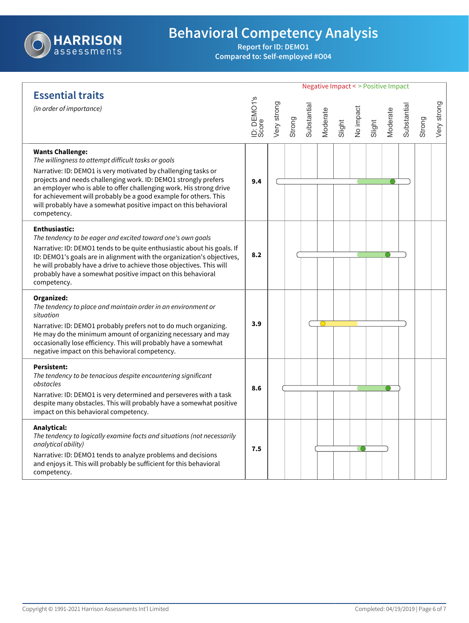

# **Behavioral Competency Analysis**

**Report for ID: DEMO1 Compared to: Self-employed #O04**

|                                                                                                                                                                                                                                                                                                                                                                                                                                                   |                      | <b>Negative Impact &lt; &gt; Positive Impact</b> |        |             |          |        |           |        |          |             |        |             |
|---------------------------------------------------------------------------------------------------------------------------------------------------------------------------------------------------------------------------------------------------------------------------------------------------------------------------------------------------------------------------------------------------------------------------------------------------|----------------------|--------------------------------------------------|--------|-------------|----------|--------|-----------|--------|----------|-------------|--------|-------------|
| <b>Essential traits</b><br>(in order of importance)                                                                                                                                                                                                                                                                                                                                                                                               | ID: DEMO1's<br>Score | Very strong                                      | Strong | Substantial | Moderate | Slight | No impact | Slight | Moderate | Substantial | Strong | Very strong |
| <b>Wants Challenge:</b><br>The willingness to attempt difficult tasks or goals<br>Narrative: ID: DEMO1 is very motivated by challenging tasks or<br>projects and needs challenging work. ID: DEMO1 strongly prefers<br>an employer who is able to offer challenging work. His strong drive<br>for achievement will probably be a good example for others. This<br>will probably have a somewhat positive impact on this behavioral<br>competency. | 9.4                  |                                                  |        |             |          |        |           |        |          |             |        |             |
| <b>Enthusiastic:</b><br>The tendency to be eager and excited toward one's own goals<br>Narrative: ID: DEMO1 tends to be quite enthusiastic about his goals. If<br>ID: DEMO1's goals are in alignment with the organization's objectives,<br>he will probably have a drive to achieve those objectives. This will<br>probably have a somewhat positive impact on this behavioral<br>competency.                                                    | 8.2                  |                                                  |        |             |          |        |           |        |          |             |        |             |
| Organized:<br>The tendency to place and maintain order in an environment or<br>situation<br>Narrative: ID: DEMO1 probably prefers not to do much organizing.<br>He may do the minimum amount of organizing necessary and may<br>occasionally lose efficiency. This will probably have a somewhat<br>negative impact on this behavioral competency.                                                                                                | 3.9                  |                                                  |        |             |          |        |           |        |          |             |        |             |
| <b>Persistent:</b><br>The tendency to be tenacious despite encountering significant<br>obstacles<br>Narrative: ID: DEMO1 is very determined and perseveres with a task<br>despite many obstacles. This will probably have a somewhat positive<br>impact on this behavioral competency.                                                                                                                                                            | 8.6                  |                                                  |        |             |          |        |           |        |          |             |        |             |
| Analytical:<br>The tendency to logically examine facts and situations (not necessarily<br>analytical ability)<br>Narrative: ID: DEMO1 tends to analyze problems and decisions<br>and enjoys it. This will probably be sufficient for this behavioral<br>competency.                                                                                                                                                                               | 7.5                  |                                                  |        |             |          |        |           |        |          |             |        |             |